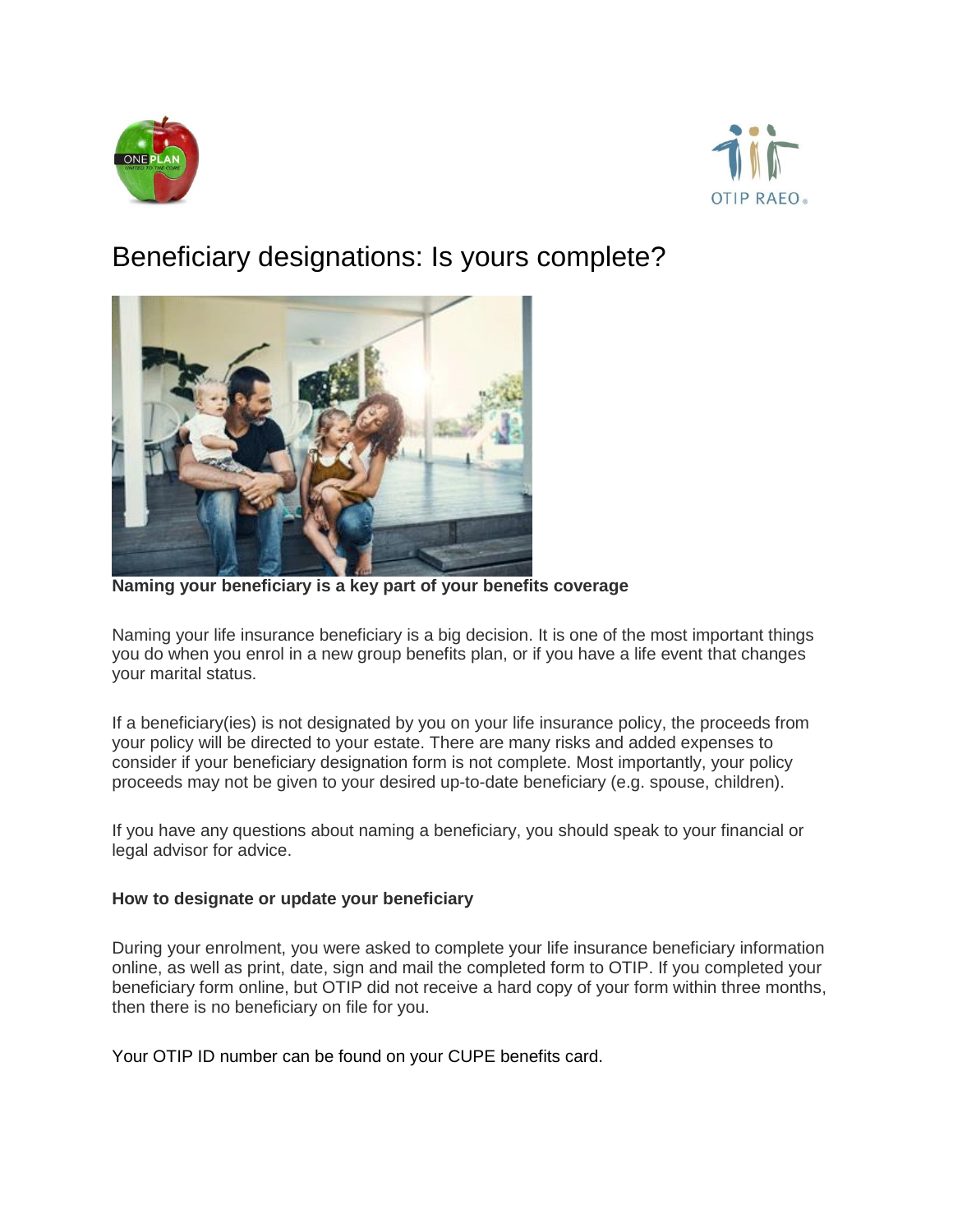



## Beneficiary designations: Is yours complete?



**Naming your beneficiary is a key part of your benefits coverage**

Naming your life insurance beneficiary is a big decision. It is one of the most important things you do when you enrol in a new group benefits plan, or if you have a life event that changes your marital status.

If a beneficiary(ies) is not designated by you on your life insurance policy, the proceeds from your policy will be directed to your estate. There are many risks and added expenses to consider if your beneficiary designation form is not complete. Most importantly, your policy proceeds may not be given to your desired up-to-date beneficiary (e.g. spouse, children).

If you have any questions about naming a beneficiary, you should speak to your financial or legal advisor for advice.

## **How to designate or update your beneficiary**

During your enrolment, you were asked to complete your life insurance beneficiary information online, as well as print, date, sign and mail the completed form to OTIP. If you completed your beneficiary form online, but OTIP did not receive a hard copy of your form within three months, then there is no beneficiary on file for you.

Your OTIP ID number can be found on your CUPE benefits card.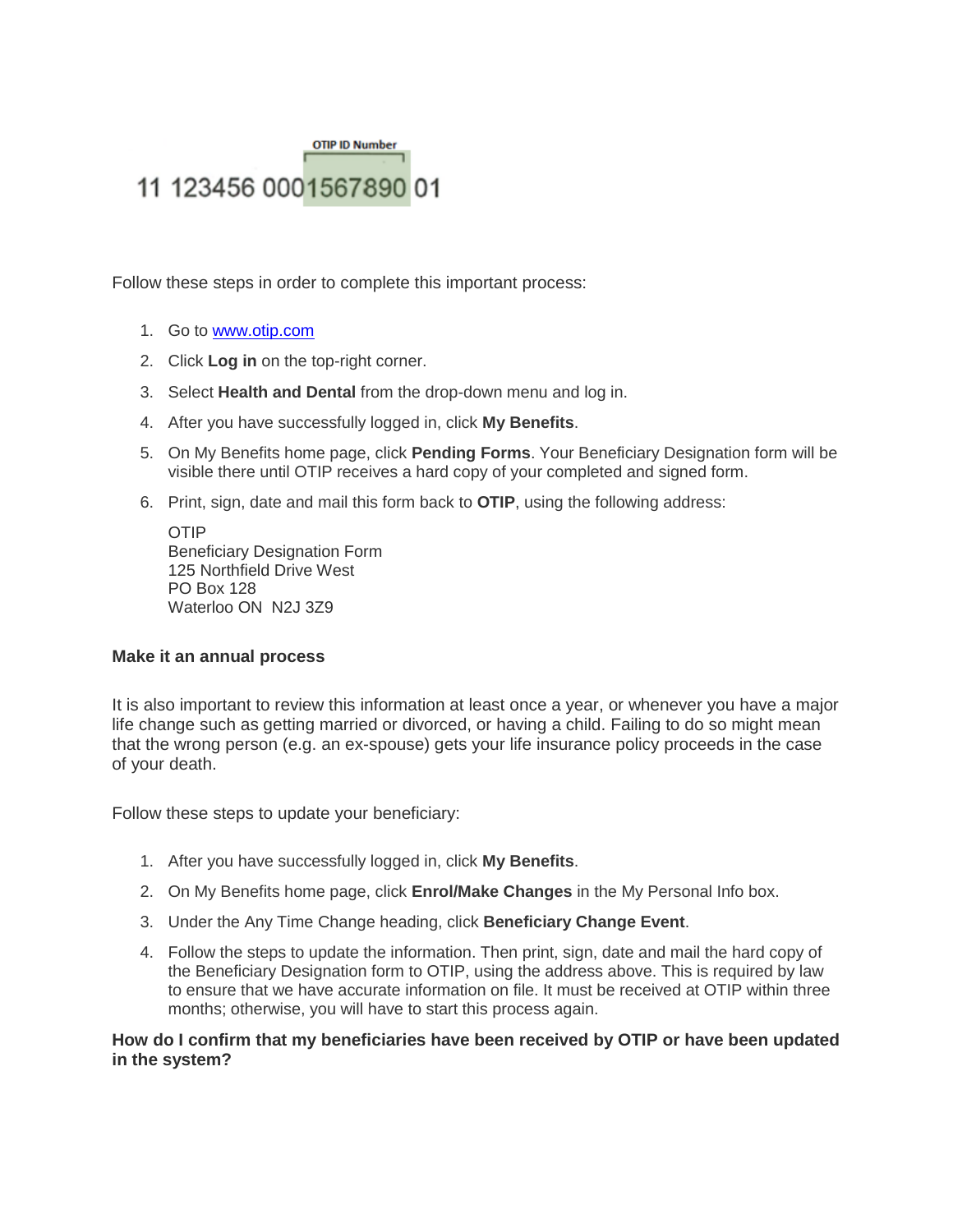## **OTIP ID Number** 11 123456 0001567890 01

Follow these steps in order to complete this important process:

- 1. Go to [www.otip.com](http://www.otip.com/)
- 2. Click **Log in** on the top-right corner.
- 3. Select **Health and Dental** from the drop-down menu and log in.
- 4. After you have successfully logged in, click **My Benefits**.
- 5. On My Benefits home page, click **Pending Forms**. Your Beneficiary Designation form will be visible there until OTIP receives a hard copy of your completed and signed form.
- 6. Print, sign, date and mail this form back to **OTIP**, using the following address:

OTIP Beneficiary Designation Form 125 Northfield Drive West PO Box 128 Waterloo ON N2J 3Z9

## **Make it an annual process**

It is also important to review this information at least once a year, or whenever you have a major life change such as getting married or divorced, or having a child. Failing to do so might mean that the wrong person (e.g. an ex-spouse) gets your life insurance policy proceeds in the case of your death.

Follow these steps to update your beneficiary:

- 1. After you have successfully logged in, click **My Benefits**.
- 2. On My Benefits home page, click **Enrol/Make Changes** in the My Personal Info box.
- 3. Under the Any Time Change heading, click **Beneficiary Change Event**.
- 4. Follow the steps to update the information. Then print, sign, date and mail the hard copy of the Beneficiary Designation form to OTIP, using the address above. This is required by law to ensure that we have accurate information on file. It must be received at OTIP within three months; otherwise, you will have to start this process again.

**How do I confirm that my beneficiaries have been received by OTIP or have been updated in the system?**